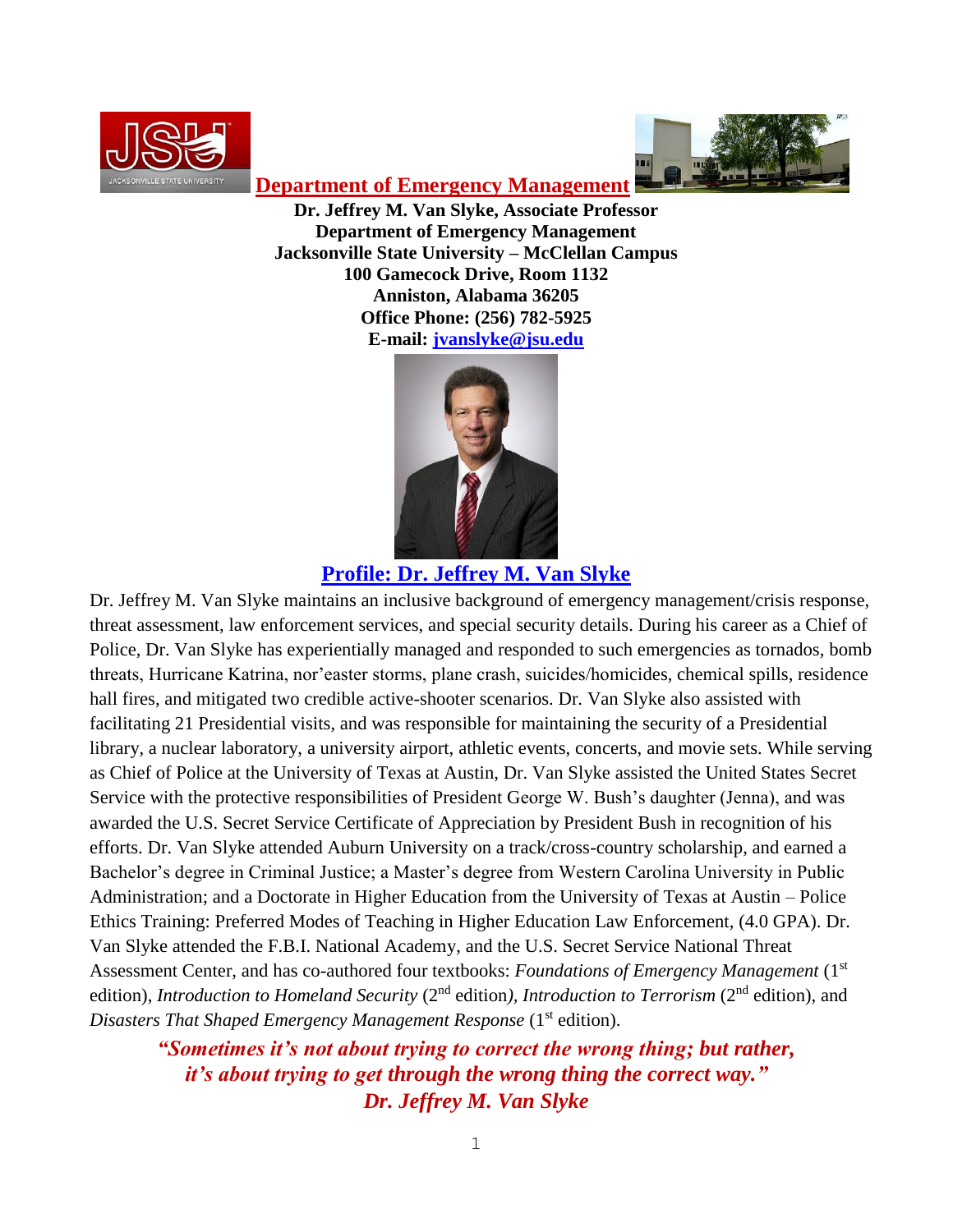



**Department of Emergency Management**

**Dr. Jeffrey M. Van Slyke, Associate Professor Department of Emergency Management Jacksonville State University – McClellan Campus 100 Gamecock Drive, Room 1132 Anniston, Alabama 36205 Office Phone: (256) 782-5925 E-mail: [jvanslyke@jsu.edu](mailto:jvanslyke@jsu.edu)**



### **Profile: Dr. Jeffrey M. Van Slyke**

Dr. Jeffrey M. Van Slyke maintains an inclusive background of emergency management/crisis response, threat assessment, law enforcement services, and special security details. During his career as a Chief of Police, Dr. Van Slyke has experientially managed and responded to such emergencies as tornados, bomb threats, Hurricane Katrina, nor'easter storms, plane crash, suicides/homicides, chemical spills, residence hall fires, and mitigated two credible active-shooter scenarios. Dr. Van Slyke also assisted with facilitating 21 Presidential visits, and was responsible for maintaining the security of a Presidential library, a nuclear laboratory, a university airport, athletic events, concerts, and movie sets. While serving as Chief of Police at the University of Texas at Austin, Dr. Van Slyke assisted the United States Secret Service with the protective responsibilities of President George W. Bush's daughter (Jenna), and was awarded the U.S. Secret Service Certificate of Appreciation by President Bush in recognition of his efforts. Dr. Van Slyke attended Auburn University on a track/cross-country scholarship, and earned a Bachelor's degree in Criminal Justice; a Master's degree from Western Carolina University in Public Administration; and a Doctorate in Higher Education from the University of Texas at Austin – Police Ethics Training: Preferred Modes of Teaching in Higher Education Law Enforcement, (4.0 GPA). Dr. Van Slyke attended the F.B.I. National Academy, and the U.S. Secret Service National Threat Assessment Center, and has co-authored four textbooks: *Foundations of Emergency Management* (1<sup>st</sup>) edition), *Introduction to Homeland Security* (2<sup>nd</sup> edition), *Introduction to Terrorism* (2<sup>nd</sup> edition), and Disasters That Shaped Emergency Management Response (1<sup>st</sup> edition).

*"Sometimes it's not about trying to correct the wrong thing; but rather, it's about trying to get through the wrong thing the correct way." Dr. Jeffrey M. Van Slyke*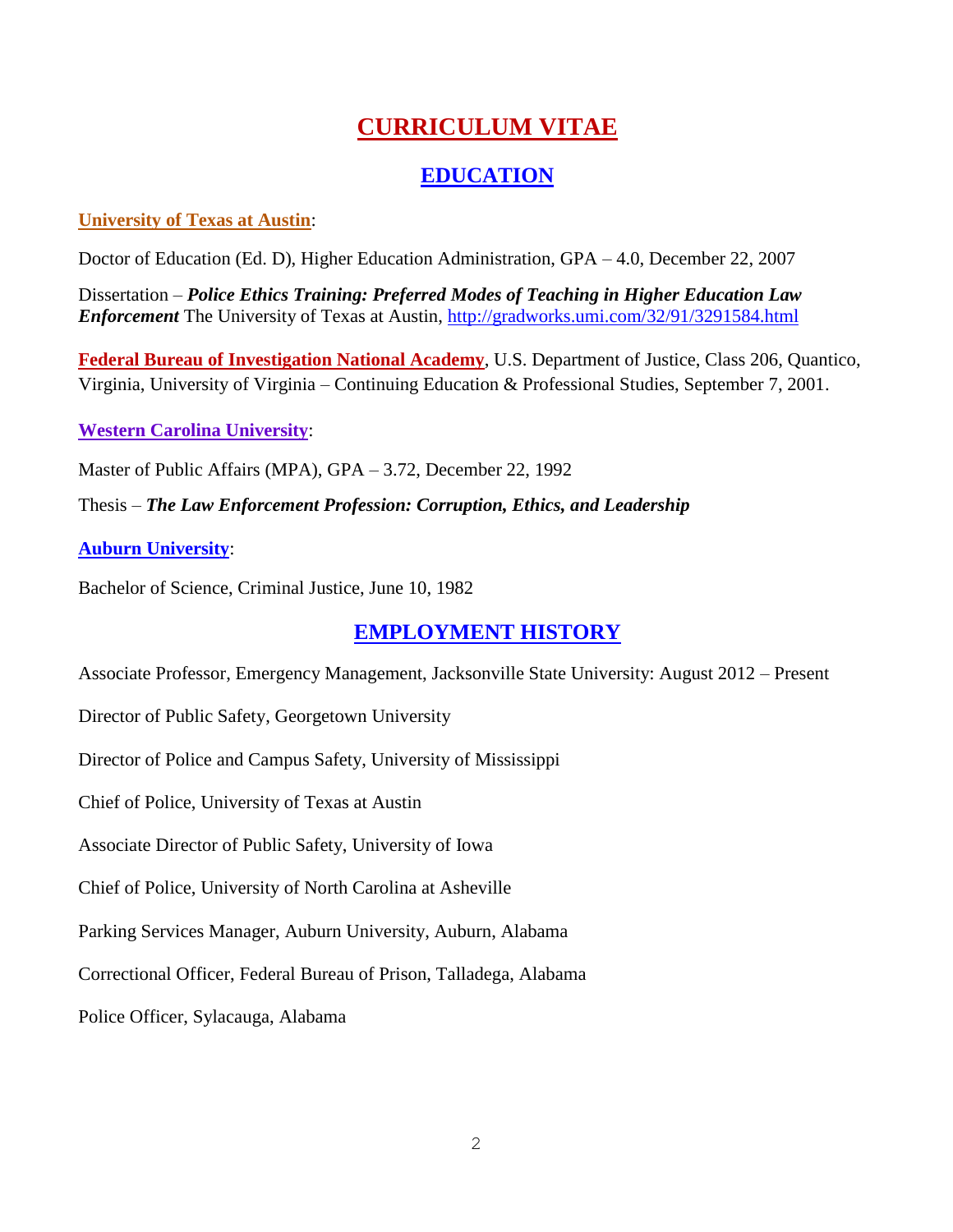# **CURRICULUM VITAE**

## **EDUCATION**

#### **University of Texas at Austin**:

Doctor of Education (Ed. D), Higher Education Administration, GPA – 4.0, December 22, 2007

Dissertation – *Police Ethics Training: Preferred Modes of Teaching in Higher Education Law Enforcement* The University of Texas at Austin,<http://gradworks.umi.com/32/91/3291584.html>

**Federal Bureau of Investigation National Academy**, U.S. Department of Justice, Class 206, Quantico, Virginia, University of Virginia – Continuing Education & Professional Studies, September 7, 2001.

### **Western Carolina University**:

Master of Public Affairs (MPA), GPA – 3.72, December 22, 1992

Thesis – *The Law Enforcement Profession: Corruption, Ethics, and Leadership*

### **Auburn University**:

Bachelor of Science, Criminal Justice, June 10, 1982

# **EMPLOYMENT HISTORY**

Associate Professor, Emergency Management, Jacksonville State University: August 2012 – Present

Director of Public Safety, Georgetown University

Director of Police and Campus Safety, University of Mississippi

Chief of Police, University of Texas at Austin

Associate Director of Public Safety, University of Iowa

Chief of Police, University of North Carolina at Asheville

Parking Services Manager, Auburn University, Auburn, Alabama

Correctional Officer, Federal Bureau of Prison, Talladega, Alabama

Police Officer, Sylacauga, Alabama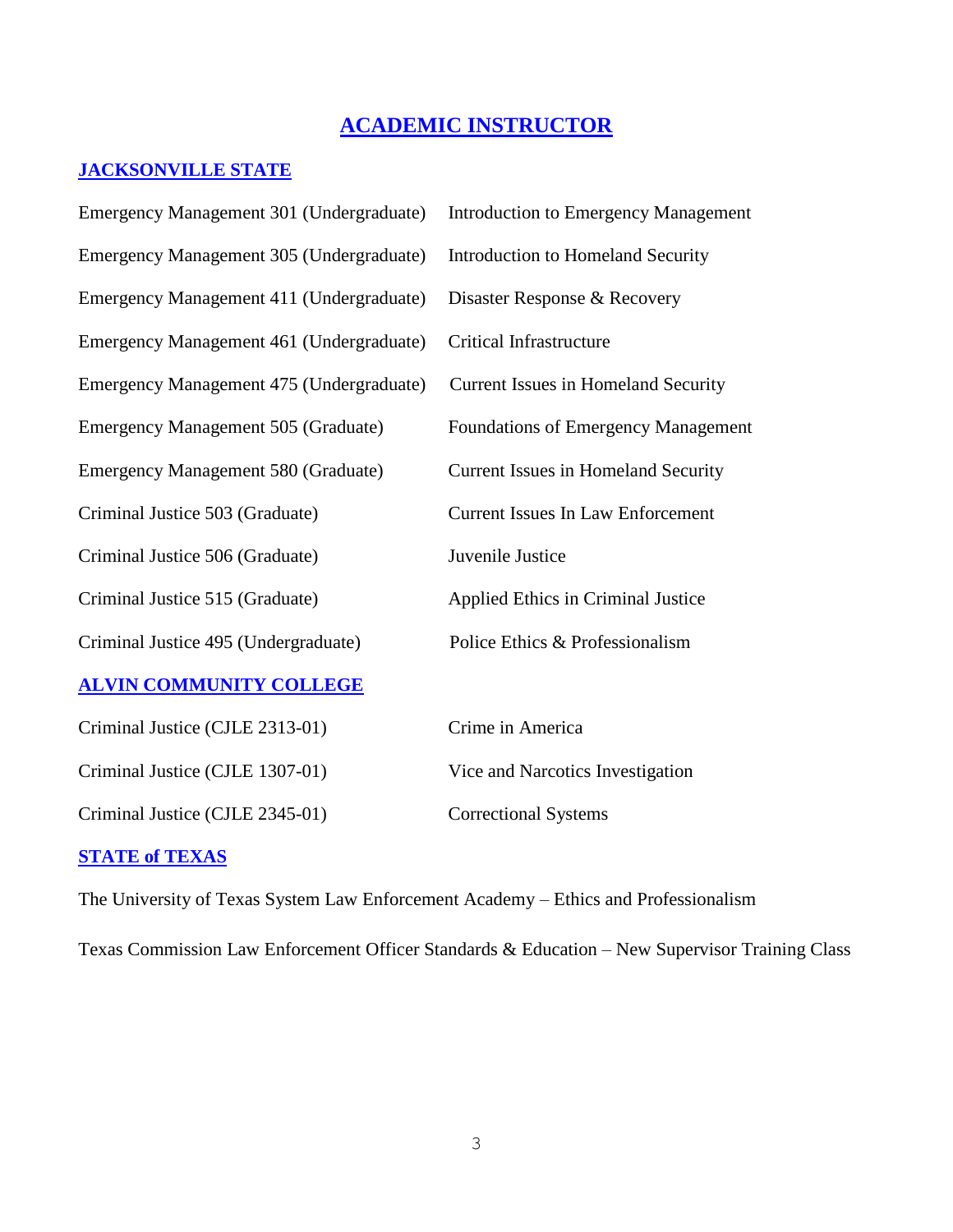# **ACADEMIC INSTRUCTOR**

### **JACKSONVILLE STATE**

| Emergency Management 301 (Undergraduate)   | <b>Introduction to Emergency Management</b> |
|--------------------------------------------|---------------------------------------------|
| Emergency Management 305 (Undergraduate)   | Introduction to Homeland Security           |
| Emergency Management 411 (Undergraduate)   | Disaster Response & Recovery                |
| Emergency Management 461 (Undergraduate)   | <b>Critical Infrastructure</b>              |
| Emergency Management 475 (Undergraduate)   | Current Issues in Homeland Security         |
| <b>Emergency Management 505 (Graduate)</b> | <b>Foundations of Emergency Management</b>  |
| <b>Emergency Management 580 (Graduate)</b> | <b>Current Issues in Homeland Security</b>  |
| Criminal Justice 503 (Graduate)            | <b>Current Issues In Law Enforcement</b>    |
| Criminal Justice 506 (Graduate)            | Juvenile Justice                            |
| Criminal Justice 515 (Graduate)            | Applied Ethics in Criminal Justice          |
| Criminal Justice 495 (Undergraduate)       | Police Ethics & Professionalism             |
| <b>ALVIN COMMUNITY COLLEGE</b>             |                                             |
| Criminal Justice (CJLE 2313-01)            | Crime in America                            |
| Criminal Justice (CJLE 1307-01)            | Vice and Narcotics Investigation            |
| Criminal Justice (CJLE 2345-01)            | <b>Correctional Systems</b>                 |
|                                            |                                             |

### **STATE of TEXAS**

The University of Texas System Law Enforcement Academy – Ethics and Professionalism

Texas Commission Law Enforcement Officer Standards & Education – New Supervisor Training Class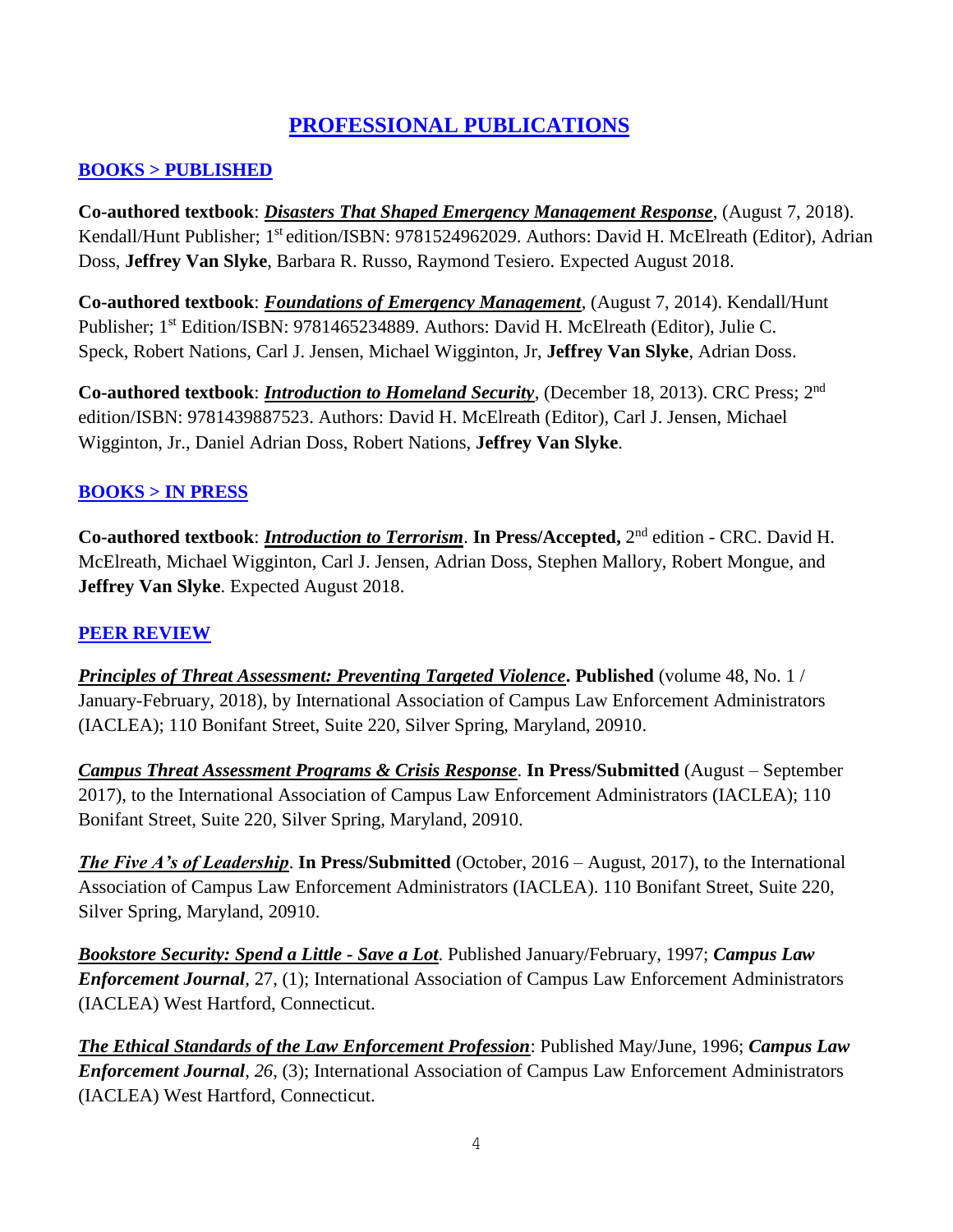# **PROFESSIONAL PUBLICATIONS**

#### **BOOKS > PUBLISHED**

**Co-authored textbook**: *Disasters That Shaped Emergency Management Response*, (August 7, 2018). Kendall/Hunt Publisher; 1<sup>st</sup> edition/ISBN: 9781524962029. Authors: David H. McElreath (Editor), Adrian Doss, **Jeffrey Van Slyke**, Barbara R. Russo, Raymond Tesiero. Expected August 2018.

**Co-authored textbook**: *Foundations of Emergency Management*, (August 7, 2014). Kendall/Hunt Publisher; 1<sup>st</sup> Edition/ISBN: 9781465234889. Authors: [David H. McElreath](https://www.google.com/search?tbo=p&tbm=bks&q=inauthor:%22David+McElreath%22) (Editor), Julie C. [Speck,](https://www.google.com/search?tbo=p&tbm=bks&q=inauthor:%22Julie+C.+Speck%22) [Robert Nations,](https://www.google.com/search?tbo=p&tbm=bks&q=inauthor:%22Robert+Nations%22) Carl J. Jensen, [Michael Wigginton, Jr,](https://www.google.com/search?tbo=p&tbm=bks&q=inauthor:%22Michael+Wigginton,+Jr%22) **[Jeffrey Van Slyke](https://www.google.com/search?tbo=p&tbm=bks&q=inauthor:%22Jeffrey+Van+Slyke%22)**, [Adrian Doss.](https://www.google.com/search?tbo=p&tbm=bks&q=inauthor:%22Adrian+Doss%22)

**Co-authored textbook**: *Introduction to Homeland Security*, (December 18, 2013). CRC Press; 2 nd edition/ISBN: 9781439887523. Authors: David H. McElreath (Editor), Carl J. Jensen, Michael Wigginton, Jr., Daniel Adrian Doss, Robert Nations, **Jeffrey Van Slyke**.

### **BOOKS > IN PRESS**

**Co-authored textbook**: *Introduction to Terrorism*. **In Press/Accepted,** 2 nd edition - CRC. David H. McElreath, Michael Wigginton, Carl J. Jensen, Adrian Doss, Stephen Mallory, Robert Mongue, and **Jeffrey Van Slyke**. Expected August 2018.

#### **PEER REVIEW**

*Principles of Threat Assessment: Preventing Targeted Violence***. Published** (volume 48, No. 1 / January-February, 2018), by International Association of Campus Law Enforcement Administrators (IACLEA); 110 Bonifant Street, Suite 220, Silver Spring, Maryland, 20910.

*Campus Threat Assessment Programs & Crisis Response*. **In Press/Submitted** (August – September 2017), to the International Association of Campus Law Enforcement Administrators (IACLEA); 110 Bonifant Street, Suite 220, Silver Spring, Maryland, 20910.

*The Five A's of Leadership*. **In Press/Submitted** (October, 2016 – August, 2017), to the International Association of Campus Law Enforcement Administrators (IACLEA). 110 Bonifant Street, Suite 220, Silver Spring, Maryland, 20910.

*Bookstore Security: Spend a Little - Save a Lot*. Published January/February, 1997; *Campus Law Enforcement Journal*, 27, (1); International Association of Campus Law Enforcement Administrators (IACLEA) West Hartford, Connecticut.

*The Ethical Standards of the Law Enforcement Profession*: Published May/June, 1996; *Campus Law Enforcement Journal*, *26*, (3); International Association of Campus Law Enforcement Administrators (IACLEA) West Hartford, Connecticut.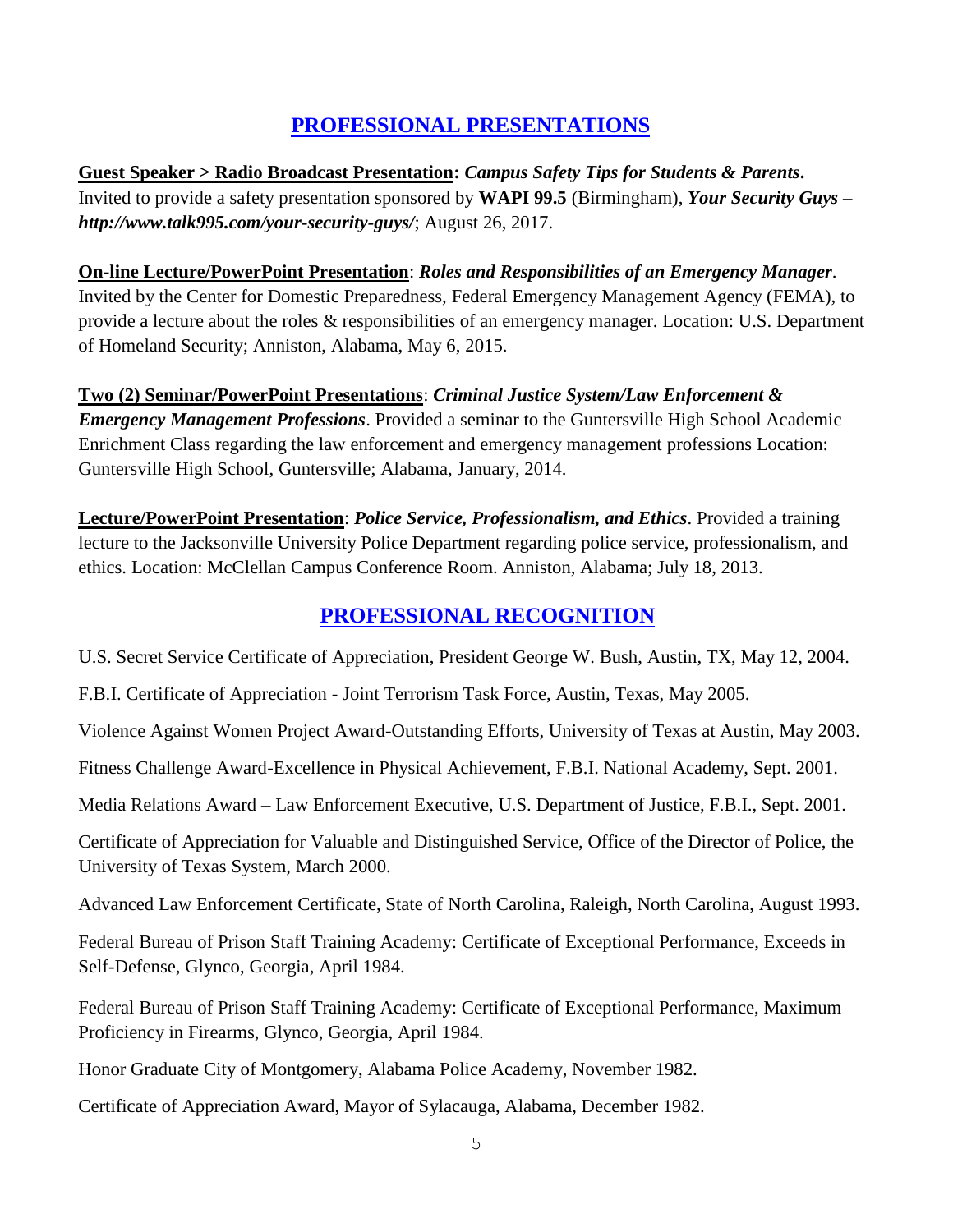### **PROFESSIONAL PRESENTATIONS**

**Guest Speaker > Radio Broadcast Presentation:** *Campus Safety Tips for Students & Parents***.**  Invited to provide a safety presentation sponsored by **WAPI 99.5** (Birmingham), *Your Security Guys – http://www.talk995.com/your-security-guys/*; August 26, 2017.

# **On-line Lecture/PowerPoint Presentation**: *Roles and Responsibilities of an Emergency Manager*.

Invited by the Center for Domestic Preparedness, Federal Emergency Management Agency (FEMA), to provide a lecture about the roles & responsibilities of an emergency manager. Location: U.S. Department of Homeland Security; Anniston, Alabama, May 6, 2015.

### **Two (2) Seminar/PowerPoint Presentations**: *Criminal Justice System/Law Enforcement & Emergency Management Professions*. Provided a seminar to the Guntersville High School Academic Enrichment Class regarding the law enforcement and emergency management professions Location: Guntersville High School, Guntersville; Alabama, January, 2014.

**Lecture/PowerPoint Presentation**: *Police Service, Professionalism, and Ethics*. Provided a training lecture to the Jacksonville University Police Department regarding police service, professionalism, and ethics. Location: McClellan Campus Conference Room. Anniston, Alabama; July 18, 2013.

### **PROFESSIONAL RECOGNITION**

U.S. Secret Service Certificate of Appreciation, President George W. Bush, Austin, TX, May 12, 2004.

F.B.I. Certificate of Appreciation - Joint Terrorism Task Force, Austin, Texas, May 2005.

Violence Against Women Project Award-Outstanding Efforts, University of Texas at Austin, May 2003.

Fitness Challenge Award-Excellence in Physical Achievement, F.B.I. National Academy, Sept. 2001.

Media Relations Award – Law Enforcement Executive, U.S. Department of Justice, F.B.I., Sept. 2001.

Certificate of Appreciation for Valuable and Distinguished Service, Office of the Director of Police, the University of Texas System, March 2000.

Advanced Law Enforcement Certificate, State of North Carolina, Raleigh, North Carolina, August 1993.

Federal Bureau of Prison Staff Training Academy: Certificate of Exceptional Performance, Exceeds in Self-Defense, Glynco, Georgia, April 1984.

Federal Bureau of Prison Staff Training Academy: Certificate of Exceptional Performance, Maximum Proficiency in Firearms, Glynco, Georgia, April 1984.

Honor Graduate City of Montgomery, Alabama Police Academy, November 1982.

Certificate of Appreciation Award, Mayor of Sylacauga, Alabama, December 1982.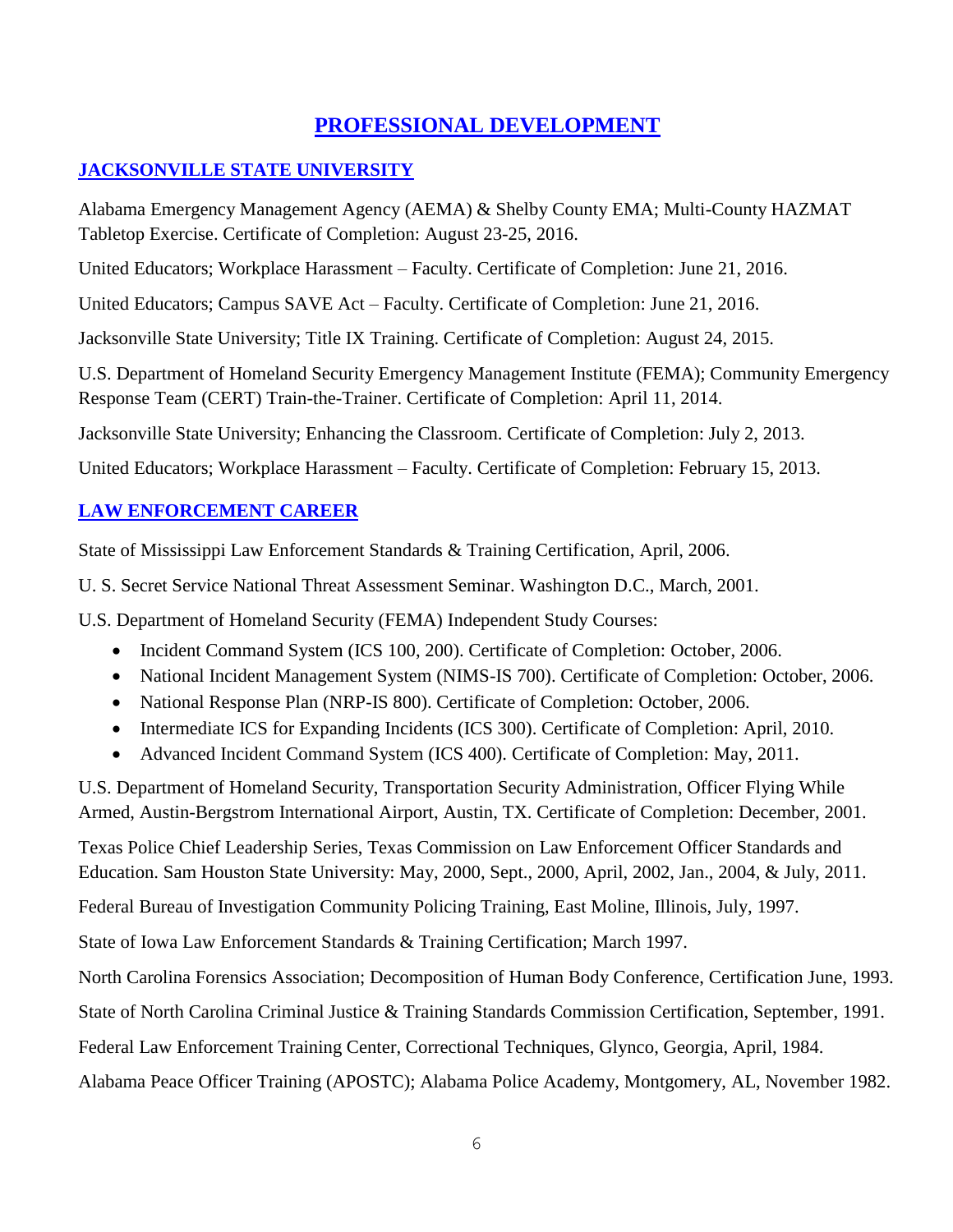### **PROFESSIONAL DEVELOPMENT**

### **JACKSONVILLE STATE UNIVERSITY**

Alabama Emergency Management Agency (AEMA) & Shelby County EMA; Multi-County HAZMAT Tabletop Exercise. Certificate of Completion: August 23-25, 2016.

United Educators; Workplace Harassment – Faculty. Certificate of Completion: June 21, 2016.

United Educators; Campus SAVE Act – Faculty. Certificate of Completion: June 21, 2016.

Jacksonville State University; Title IX Training. Certificate of Completion: August 24, 2015.

U.S. Department of Homeland Security Emergency Management Institute (FEMA); Community Emergency Response Team (CERT) Train-the-Trainer. Certificate of Completion: April 11, 2014.

Jacksonville State University; Enhancing the Classroom. Certificate of Completion: July 2, 2013.

United Educators; Workplace Harassment – Faculty. Certificate of Completion: February 15, 2013.

### **LAW ENFORCEMENT CAREER**

State of Mississippi Law Enforcement Standards & Training Certification, April, 2006.

U. S. Secret Service National Threat Assessment Seminar. Washington D.C., March, 2001.

U.S. Department of Homeland Security (FEMA) Independent Study Courses:

- Incident Command System (ICS 100, 200). Certificate of Completion: October, 2006.
- National Incident Management System (NIMS-IS 700). Certificate of Completion: October, 2006.
- National Response Plan (NRP-IS 800). Certificate of Completion: October, 2006.
- Intermediate ICS for Expanding Incidents (ICS 300). Certificate of Completion: April, 2010.
- Advanced Incident Command System (ICS 400). Certificate of Completion: May, 2011.

U.S. Department of Homeland Security, Transportation Security Administration, Officer Flying While Armed, Austin-Bergstrom International Airport, Austin, TX. Certificate of Completion: December, 2001.

Texas Police Chief Leadership Series, Texas Commission on Law Enforcement Officer Standards and Education. Sam Houston State University: May, 2000, Sept., 2000, April, 2002, Jan., 2004, & July, 2011.

Federal Bureau of Investigation Community Policing Training, East Moline, Illinois, July, 1997.

State of Iowa Law Enforcement Standards & Training Certification; March 1997.

North Carolina Forensics Association; Decomposition of Human Body Conference, Certification June, 1993.

State of North Carolina Criminal Justice & Training Standards Commission Certification, September, 1991.

Federal Law Enforcement Training Center, Correctional Techniques, Glynco, Georgia, April, 1984.

Alabama Peace Officer Training (APOSTC); Alabama Police Academy, Montgomery, AL, November 1982.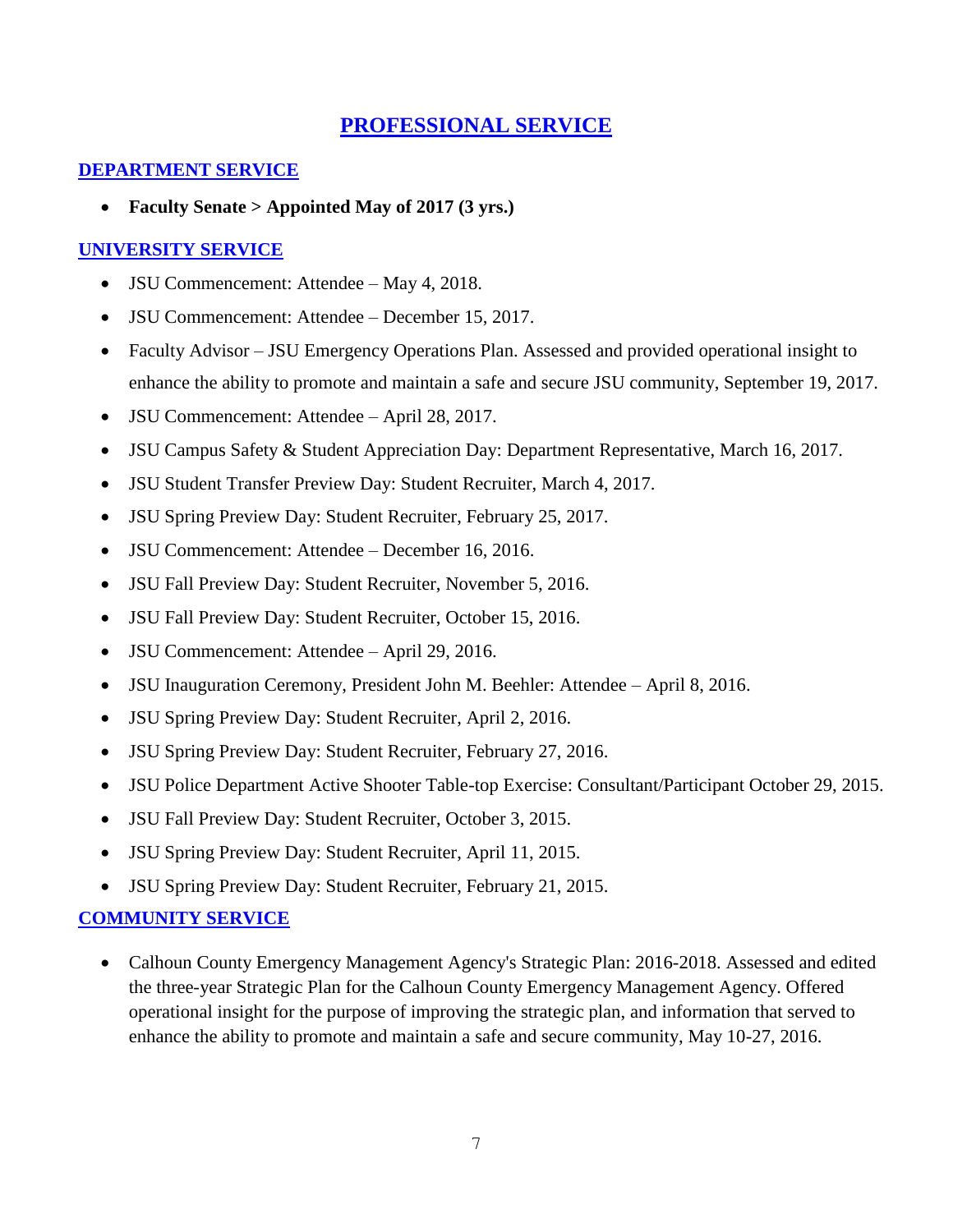### **PROFESSIONAL SERVICE**

#### **DEPARTMENT SERVICE**

• **Faculty Senate > Appointed May of 2017 (3 yrs.)**

### **UNIVERSITY SERVICE**

- **JSU Commencement:** Attendee May 4, 2018.
- JSU Commencement: Attendee December 15, 2017.
- Faculty Advisor JSU Emergency Operations Plan. Assessed and provided operational insight to enhance the ability to promote and maintain a safe and secure JSU community, September 19, 2017.
- JSU Commencement: Attendee April 28, 2017.
- JSU Campus Safety & Student Appreciation Day: Department Representative, March 16, 2017.
- JSU Student Transfer Preview Day: Student Recruiter, March 4, 2017.
- JSU Spring Preview Day: Student Recruiter, February 25, 2017.
- **JSU Commencement: Attendee December 16, 2016.**
- JSU Fall Preview Day: Student Recruiter, November 5, 2016.
- JSU Fall Preview Day: Student Recruiter, October 15, 2016.
- **JSU Commencement:** Attendee April 29, 2016.
- JSU Inauguration Ceremony, President John M. Beehler: Attendee April 8, 2016.
- JSU Spring Preview Day: Student Recruiter, April 2, 2016.
- JSU Spring Preview Day: Student Recruiter, February 27, 2016.
- JSU Police Department Active Shooter Table-top Exercise: Consultant/Participant October 29, 2015.
- JSU Fall Preview Day: Student Recruiter, October 3, 2015.
- JSU Spring Preview Day: Student Recruiter, April 11, 2015.
- JSU Spring Preview Day: Student Recruiter, February 21, 2015.

#### **COMMUNITY SERVICE**

• Calhoun County Emergency Management Agency's Strategic Plan: 2016-2018. Assessed and edited the three-year Strategic Plan for the Calhoun County Emergency Management Agency. Offered operational insight for the purpose of improving the strategic plan, and information that served to enhance the ability to promote and maintain a safe and secure community, May 10-27, 2016.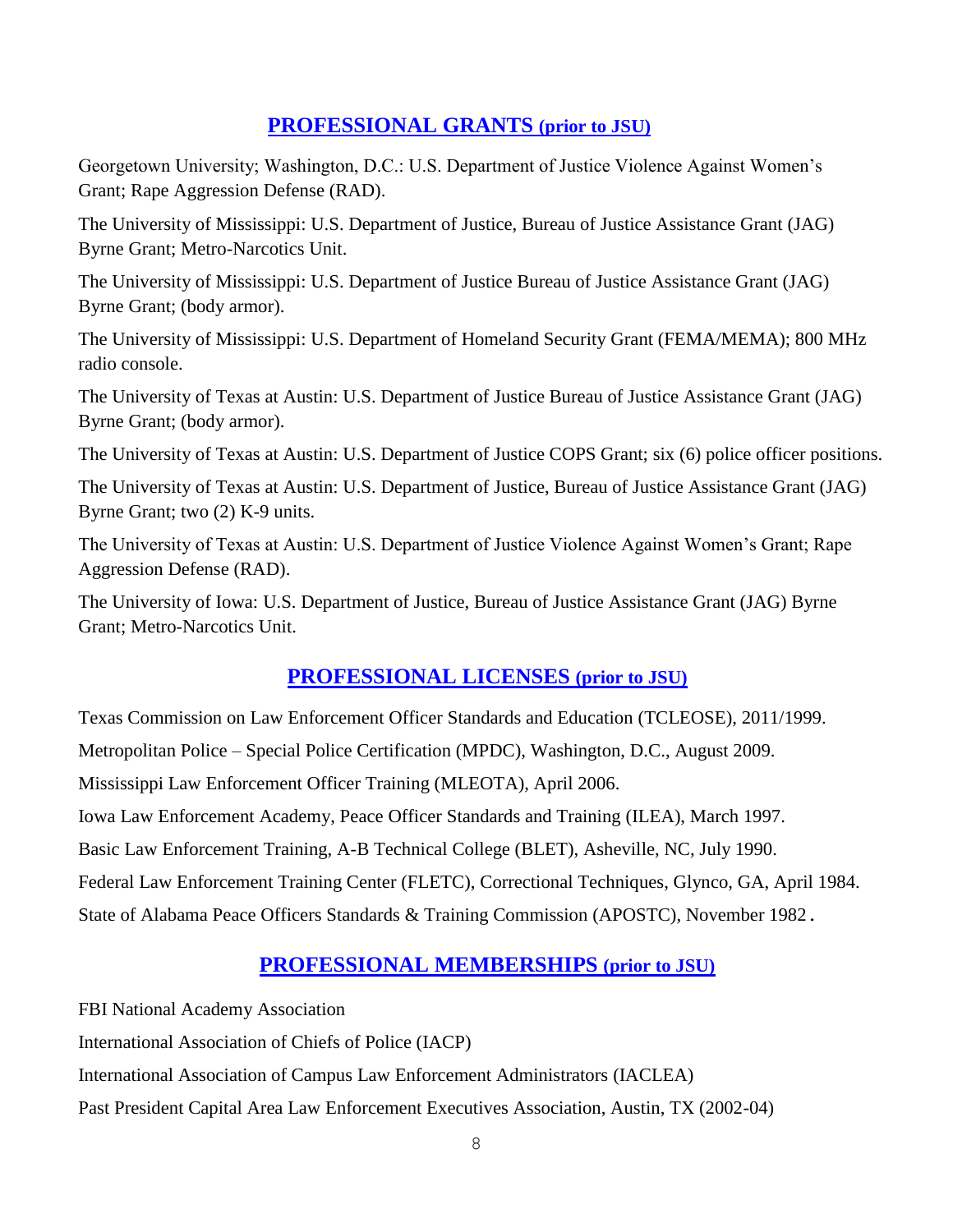### **PROFESSIONAL GRANTS (prior to JSU)**

Georgetown University; Washington, D.C.: U.S. Department of Justice Violence Against Women's Grant; Rape Aggression Defense (RAD).

The University of Mississippi: U.S. Department of Justice, Bureau of Justice Assistance Grant (JAG) Byrne Grant; Metro-Narcotics Unit.

The University of Mississippi: U.S. Department of Justice Bureau of Justice Assistance Grant (JAG) Byrne Grant; (body armor).

The University of Mississippi: U.S. Department of Homeland Security Grant (FEMA/MEMA); 800 MHz radio console.

The University of Texas at Austin: U.S. Department of Justice Bureau of Justice Assistance Grant (JAG) Byrne Grant; (body armor).

The University of Texas at Austin: U.S. Department of Justice COPS Grant; six (6) police officer positions.

The University of Texas at Austin: U.S. Department of Justice, Bureau of Justice Assistance Grant (JAG) Byrne Grant; two (2) K-9 units.

The University of Texas at Austin: U.S. Department of Justice Violence Against Women's Grant; Rape Aggression Defense (RAD).

The University of Iowa: U.S. Department of Justice, Bureau of Justice Assistance Grant (JAG) Byrne Grant; Metro-Narcotics Unit.

### **PROFESSIONAL LICENSES (prior to JSU)**

Texas Commission on Law Enforcement Officer Standards and Education (TCLEOSE), 2011/1999. Metropolitan Police – Special Police Certification (MPDC), Washington, D.C., August 2009. Mississippi Law Enforcement Officer Training (MLEOTA), April 2006. Iowa Law Enforcement Academy, Peace Officer Standards and Training (ILEA), March 1997. Basic Law Enforcement Training, A-B Technical College (BLET), Asheville, NC, July 1990. Federal Law Enforcement Training Center (FLETC), Correctional Techniques, Glynco, GA, April 1984. State of Alabama Peace Officers Standards & Training Commission (APOSTC), November 1982.

# **PROFESSIONAL MEMBERSHIPS (prior to JSU)**

FBI National Academy Association International Association of Chiefs of Police (IACP) International Association of Campus Law Enforcement Administrators (IACLEA) Past President Capital Area Law Enforcement Executives Association, Austin, TX (2002-04)